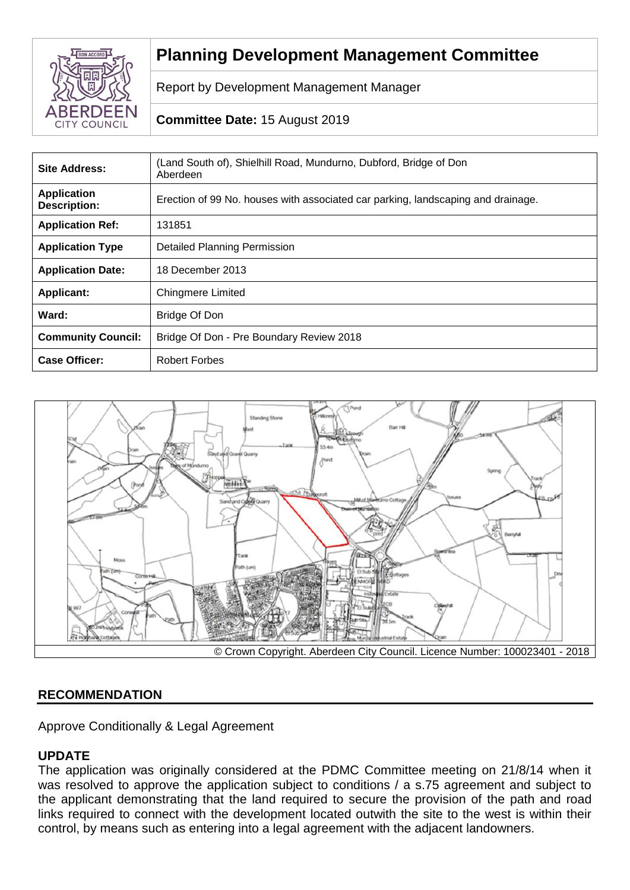

# **Planning Development Management Committee**

Report by Development Management Manager

# **Committee Date:** 15 August 2019

| <b>Site Address:</b>                      | (Land South of), Shielhill Road, Mundurno, Dubford, Bridge of Don<br>Aberdeen    |
|-------------------------------------------|----------------------------------------------------------------------------------|
| <b>Application</b><br><b>Description:</b> | Erection of 99 No. houses with associated car parking, landscaping and drainage. |
| <b>Application Ref:</b>                   | 131851                                                                           |
| <b>Application Type</b>                   | <b>Detailed Planning Permission</b>                                              |
| <b>Application Date:</b>                  | 18 December 2013                                                                 |
| <b>Applicant:</b>                         | Chingmere Limited                                                                |
| Ward:                                     | Bridge Of Don                                                                    |
| <b>Community Council:</b>                 | Bridge Of Don - Pre Boundary Review 2018                                         |
| <b>Case Officer:</b>                      | <b>Robert Forbes</b>                                                             |



# **RECOMMENDATION**

Approve Conditionally & Legal Agreement

# **UPDATE**

The application was originally considered at the PDMC Committee meeting on 21/8/14 when it was resolved to approve the application subject to conditions / a s.75 agreement and subject to the applicant demonstrating that the land required to secure the provision of the path and road links required to connect with the development located outwith the site to the west is within their control, by means such as entering into a legal agreement with the adjacent landowners.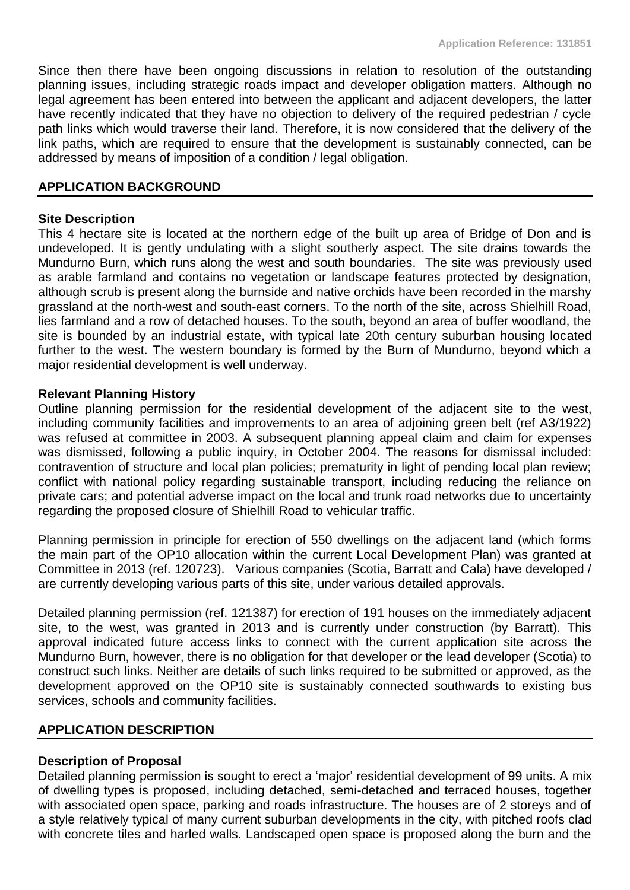Since then there have been ongoing discussions in relation to resolution of the outstanding planning issues, including strategic roads impact and developer obligation matters. Although no legal agreement has been entered into between the applicant and adjacent developers, the latter have recently indicated that they have no objection to delivery of the required pedestrian / cycle path links which would traverse their land. Therefore, it is now considered that the delivery of the link paths, which are required to ensure that the development is sustainably connected, can be addressed by means of imposition of a condition / legal obligation.

## **APPLICATION BACKGROUND**

#### **Site Description**

This 4 hectare site is located at the northern edge of the built up area of Bridge of Don and is undeveloped. It is gently undulating with a slight southerly aspect. The site drains towards the Mundurno Burn, which runs along the west and south boundaries. The site was previously used as arable farmland and contains no vegetation or landscape features protected by designation, although scrub is present along the burnside and native orchids have been recorded in the marshy grassland at the north-west and south-east corners. To the north of the site, across Shielhill Road, lies farmland and a row of detached houses. To the south, beyond an area of buffer woodland, the site is bounded by an industrial estate, with typical late 20th century suburban housing located further to the west. The western boundary is formed by the Burn of Mundurno, beyond which a major residential development is well underway.

#### **Relevant Planning History**

Outline planning permission for the residential development of the adjacent site to the west, including community facilities and improvements to an area of adjoining green belt (ref A3/1922) was refused at committee in 2003. A subsequent planning appeal claim and claim for expenses was dismissed, following a public inquiry, in October 2004. The reasons for dismissal included: contravention of structure and local plan policies; prematurity in light of pending local plan review; conflict with national policy regarding sustainable transport, including reducing the reliance on private cars; and potential adverse impact on the local and trunk road networks due to uncertainty regarding the proposed closure of Shielhill Road to vehicular traffic.

Planning permission in principle for erection of 550 dwellings on the adjacent land (which forms the main part of the OP10 allocation within the current Local Development Plan) was granted at Committee in 2013 (ref. 120723). Various companies (Scotia, Barratt and Cala) have developed / are currently developing various parts of this site, under various detailed approvals.

Detailed planning permission (ref. 121387) for erection of 191 houses on the immediately adjacent site, to the west, was granted in 2013 and is currently under construction (by Barratt). This approval indicated future access links to connect with the current application site across the Mundurno Burn, however, there is no obligation for that developer or the lead developer (Scotia) to construct such links. Neither are details of such links required to be submitted or approved, as the development approved on the OP10 site is sustainably connected southwards to existing bus services, schools and community facilities.

## **APPLICATION DESCRIPTION**

## **Description of Proposal**

Detailed planning permission is sought to erect a 'major' residential development of 99 units. A mix of dwelling types is proposed, including detached, semi-detached and terraced houses, together with associated open space, parking and roads infrastructure. The houses are of 2 storeys and of a style relatively typical of many current suburban developments in the city, with pitched roofs clad with concrete tiles and harled walls. Landscaped open space is proposed along the burn and the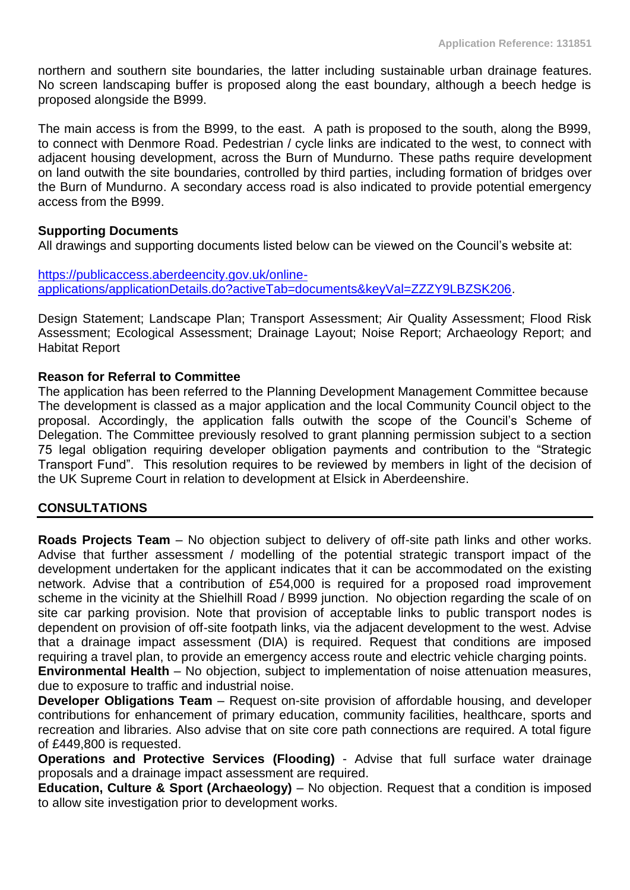northern and southern site boundaries, the latter including sustainable urban drainage features. No screen landscaping buffer is proposed along the east boundary, although a beech hedge is proposed alongside the B999.

The main access is from the B999, to the east. A path is proposed to the south, along the B999, to connect with Denmore Road. Pedestrian / cycle links are indicated to the west, to connect with adjacent housing development, across the Burn of Mundurno. These paths require development on land outwith the site boundaries, controlled by third parties, including formation of bridges over the Burn of Mundurno. A secondary access road is also indicated to provide potential emergency access from the B999.

## **Supporting Documents**

All drawings and supporting documents listed below can be viewed on the Council's website at:

[https://publicaccess.aberdeencity.gov.uk/online](https://publicaccess.aberdeencity.gov.uk/online-applications/applicationDetails.do?activeTab=documents&keyVal=ZZZY9LBZSK206)[applications/applicationDetails.do?activeTab=documents&keyVal=ZZZY9LBZSK206.](https://publicaccess.aberdeencity.gov.uk/online-applications/applicationDetails.do?activeTab=documents&keyVal=ZZZY9LBZSK206)

Design Statement; Landscape Plan; Transport Assessment; Air Quality Assessment; Flood Risk Assessment; Ecological Assessment; Drainage Layout; Noise Report; Archaeology Report; and Habitat Report

#### **Reason for Referral to Committee**

The application has been referred to the Planning Development Management Committee because The development is classed as a major application and the local Community Council object to the proposal. Accordingly, the application falls outwith the scope of the Council's Scheme of Delegation. The Committee previously resolved to grant planning permission subject to a section 75 legal obligation requiring developer obligation payments and contribution to the "Strategic Transport Fund". This resolution requires to be reviewed by members in light of the decision of the UK Supreme Court in relation to development at Elsick in Aberdeenshire.

#### **CONSULTATIONS**

**Roads Projects Team** – No objection subject to delivery of off-site path links and other works. Advise that further assessment / modelling of the potential strategic transport impact of the development undertaken for the applicant indicates that it can be accommodated on the existing network. Advise that a contribution of £54,000 is required for a proposed road improvement scheme in the vicinity at the Shielhill Road / B999 junction. No objection regarding the scale of on site car parking provision. Note that provision of acceptable links to public transport nodes is dependent on provision of off-site footpath links, via the adjacent development to the west. Advise that a drainage impact assessment (DIA) is required. Request that conditions are imposed requiring a travel plan, to provide an emergency access route and electric vehicle charging points.

**Environmental Health** – No objection, subject to implementation of noise attenuation measures, due to exposure to traffic and industrial noise.

**Developer Obligations Team** – Request on-site provision of affordable housing, and developer contributions for enhancement of primary education, community facilities, healthcare, sports and recreation and libraries. Also advise that on site core path connections are required. A total figure of £449,800 is requested.

**Operations and Protective Services (Flooding)** - Advise that full surface water drainage proposals and a drainage impact assessment are required.

**Education, Culture & Sport (Archaeology)** – No objection. Request that a condition is imposed to allow site investigation prior to development works.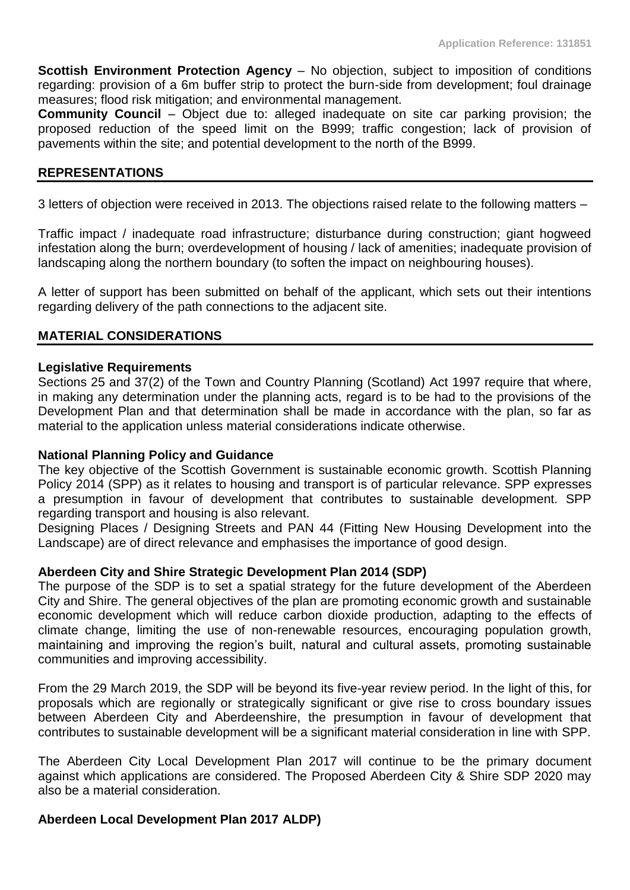**Scottish Environment Protection Agency** – No objection, subject to imposition of conditions regarding: provision of a 6m buffer strip to protect the burn-side from development; foul drainage measures; flood risk mitigation; and environmental management.

**Community Council** – Object due to: alleged inadequate on site car parking provision; the proposed reduction of the speed limit on the B999; traffic congestion; lack of provision of pavements within the site; and potential development to the north of the B999.

#### **REPRESENTATIONS**

3 letters of objection were received in 2013. The objections raised relate to the following matters –

Traffic impact / inadequate road infrastructure; disturbance during construction; giant hogweed infestation along the burn; overdevelopment of housing / lack of amenities; inadequate provision of landscaping along the northern boundary (to soften the impact on neighbouring houses).

A letter of support has been submitted on behalf of the applicant, which sets out their intentions regarding delivery of the path connections to the adjacent site.

#### **MATERIAL CONSIDERATIONS**

#### **Legislative Requirements**

Sections 25 and 37(2) of the Town and Country Planning (Scotland) Act 1997 require that where, in making any determination under the planning acts, regard is to be had to the provisions of the Development Plan and that determination shall be made in accordance with the plan, so far as material to the application unless material considerations indicate otherwise.

#### **National Planning Policy and Guidance**

The key objective of the Scottish Government is sustainable economic growth. Scottish Planning Policy 2014 (SPP) as it relates to housing and transport is of particular relevance. SPP expresses a presumption in favour of development that contributes to sustainable development. SPP regarding transport and housing is also relevant.

Designing Places / Designing Streets and PAN 44 (Fitting New Housing Development into the Landscape) are of direct relevance and emphasises the importance of good design.

#### **Aberdeen City and Shire Strategic Development Plan 2014 (SDP)**

The purpose of the SDP is to set a spatial strategy for the future development of the Aberdeen City and Shire. The general objectives of the plan are promoting economic growth and sustainable economic development which will reduce carbon dioxide production, adapting to the effects of climate change, limiting the use of non-renewable resources, encouraging population growth, maintaining and improving the region's built, natural and cultural assets, promoting sustainable communities and improving accessibility.

From the 29 March 2019, the SDP will be beyond its five-year review period. In the light of this, for proposals which are regionally or strategically significant or give rise to cross boundary issues between Aberdeen City and Aberdeenshire, the presumption in favour of development that contributes to sustainable development will be a significant material consideration in line with SPP.

The Aberdeen City Local Development Plan 2017 will continue to be the primary document against which applications are considered. The Proposed Aberdeen City & Shire SDP 2020 may also be a material consideration.

#### **Aberdeen Local Development Plan 2017 ALDP)**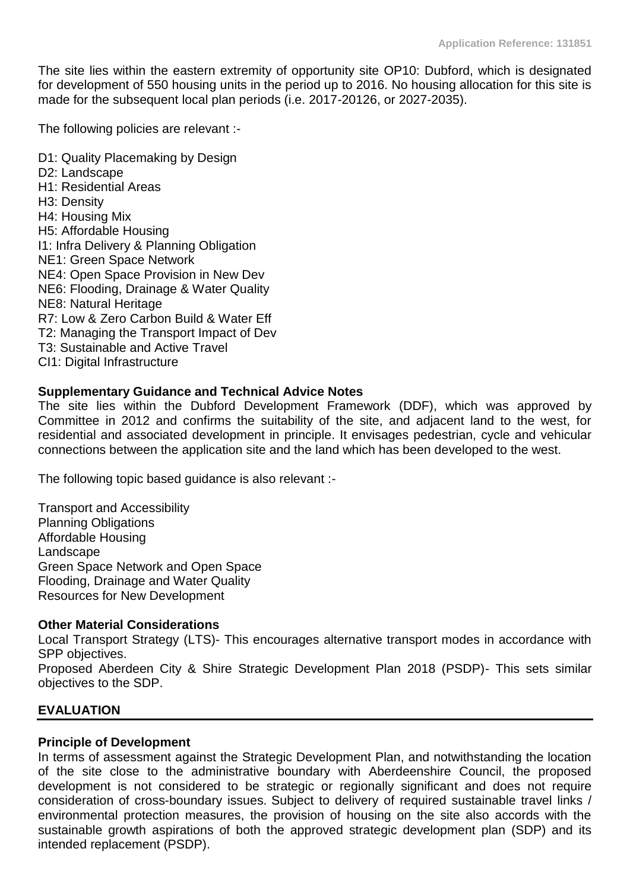The site lies within the eastern extremity of opportunity site OP10: Dubford, which is designated for development of 550 housing units in the period up to 2016. No housing allocation for this site is made for the subsequent local plan periods (i.e. 2017-20126, or 2027-2035).

The following policies are relevant :-

D1: Quality Placemaking by Design D<sub>2</sub>: Landscape H1: Residential Areas H3: Density H4: Housing Mix H5: Affordable Housing I1: Infra Delivery & Planning Obligation NE1: Green Space Network NE4: Open Space Provision in New Dev NE6: Flooding, Drainage & Water Quality NE8: Natural Heritage R7: Low & Zero Carbon Build & Water Eff T2: Managing the Transport Impact of Dev T3: Sustainable and Active Travel CI1: Digital Infrastructure

## **Supplementary Guidance and Technical Advice Notes**

The site lies within the Dubford Development Framework (DDF), which was approved by Committee in 2012 and confirms the suitability of the site, and adjacent land to the west, for residential and associated development in principle. It envisages pedestrian, cycle and vehicular connections between the application site and the land which has been developed to the west.

The following topic based guidance is also relevant :-

Transport and Accessibility Planning Obligations Affordable Housing Landscape Green Space Network and Open Space Flooding, Drainage and Water Quality Resources for New Development

## **Other Material Considerations**

Local Transport Strategy (LTS)- This encourages alternative transport modes in accordance with SPP objectives.

Proposed Aberdeen City & Shire Strategic Development Plan 2018 (PSDP)- This sets similar objectives to the SDP.

## **EVALUATION**

#### **Principle of Development**

In terms of assessment against the Strategic Development Plan, and notwithstanding the location of the site close to the administrative boundary with Aberdeenshire Council, the proposed development is not considered to be strategic or regionally significant and does not require consideration of cross-boundary issues. Subject to delivery of required sustainable travel links / environmental protection measures, the provision of housing on the site also accords with the sustainable growth aspirations of both the approved strategic development plan (SDP) and its intended replacement (PSDP).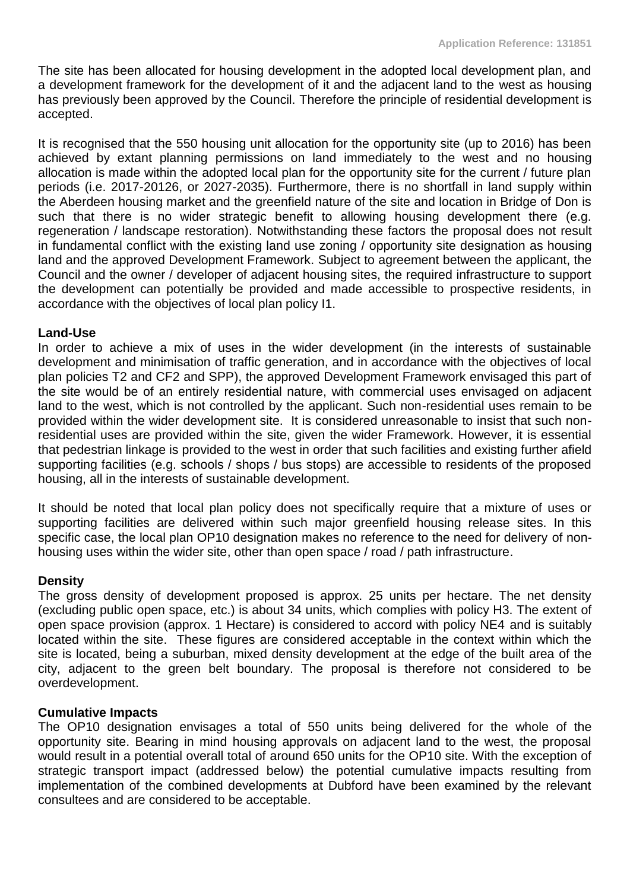The site has been allocated for housing development in the adopted local development plan, and a development framework for the development of it and the adjacent land to the west as housing has previously been approved by the Council. Therefore the principle of residential development is accepted.

It is recognised that the 550 housing unit allocation for the opportunity site (up to 2016) has been achieved by extant planning permissions on land immediately to the west and no housing allocation is made within the adopted local plan for the opportunity site for the current / future plan periods (i.e. 2017-20126, or 2027-2035). Furthermore, there is no shortfall in land supply within the Aberdeen housing market and the greenfield nature of the site and location in Bridge of Don is such that there is no wider strategic benefit to allowing housing development there (e.g. regeneration / landscape restoration). Notwithstanding these factors the proposal does not result in fundamental conflict with the existing land use zoning / opportunity site designation as housing land and the approved Development Framework. Subject to agreement between the applicant, the Council and the owner / developer of adjacent housing sites, the required infrastructure to support the development can potentially be provided and made accessible to prospective residents, in accordance with the objectives of local plan policy I1.

## **Land-Use**

In order to achieve a mix of uses in the wider development (in the interests of sustainable development and minimisation of traffic generation, and in accordance with the objectives of local plan policies T2 and CF2 and SPP), the approved Development Framework envisaged this part of the site would be of an entirely residential nature, with commercial uses envisaged on adjacent land to the west, which is not controlled by the applicant. Such non-residential uses remain to be provided within the wider development site. It is considered unreasonable to insist that such nonresidential uses are provided within the site, given the wider Framework. However, it is essential that pedestrian linkage is provided to the west in order that such facilities and existing further afield supporting facilities (e.g. schools / shops / bus stops) are accessible to residents of the proposed housing, all in the interests of sustainable development.

It should be noted that local plan policy does not specifically require that a mixture of uses or supporting facilities are delivered within such major greenfield housing release sites. In this specific case, the local plan OP10 designation makes no reference to the need for delivery of nonhousing uses within the wider site, other than open space / road / path infrastructure.

#### **Density**

The gross density of development proposed is approx. 25 units per hectare. The net density (excluding public open space, etc.) is about 34 units, which complies with policy H3. The extent of open space provision (approx. 1 Hectare) is considered to accord with policy NE4 and is suitably located within the site. These figures are considered acceptable in the context within which the site is located, being a suburban, mixed density development at the edge of the built area of the city, adjacent to the green belt boundary. The proposal is therefore not considered to be overdevelopment.

#### **Cumulative Impacts**

The OP10 designation envisages a total of 550 units being delivered for the whole of the opportunity site. Bearing in mind housing approvals on adjacent land to the west, the proposal would result in a potential overall total of around 650 units for the OP10 site. With the exception of strategic transport impact (addressed below) the potential cumulative impacts resulting from implementation of the combined developments at Dubford have been examined by the relevant consultees and are considered to be acceptable.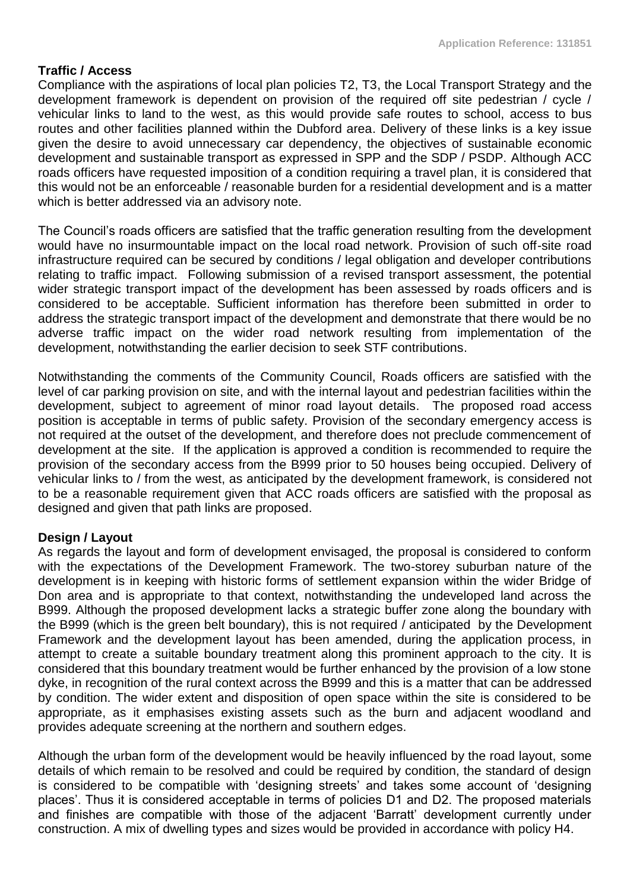## **Traffic / Access**

Compliance with the aspirations of local plan policies T2, T3, the Local Transport Strategy and the development framework is dependent on provision of the required off site pedestrian / cycle / vehicular links to land to the west, as this would provide safe routes to school, access to bus routes and other facilities planned within the Dubford area. Delivery of these links is a key issue given the desire to avoid unnecessary car dependency, the objectives of sustainable economic development and sustainable transport as expressed in SPP and the SDP / PSDP. Although ACC roads officers have requested imposition of a condition requiring a travel plan, it is considered that this would not be an enforceable / reasonable burden for a residential development and is a matter which is better addressed via an advisory note.

The Council's roads officers are satisfied that the traffic generation resulting from the development would have no insurmountable impact on the local road network. Provision of such off-site road infrastructure required can be secured by conditions / legal obligation and developer contributions relating to traffic impact. Following submission of a revised transport assessment, the potential wider strategic transport impact of the development has been assessed by roads officers and is considered to be acceptable. Sufficient information has therefore been submitted in order to address the strategic transport impact of the development and demonstrate that there would be no adverse traffic impact on the wider road network resulting from implementation of the development, notwithstanding the earlier decision to seek STF contributions.

Notwithstanding the comments of the Community Council, Roads officers are satisfied with the level of car parking provision on site, and with the internal layout and pedestrian facilities within the development, subject to agreement of minor road layout details. The proposed road access position is acceptable in terms of public safety. Provision of the secondary emergency access is not required at the outset of the development, and therefore does not preclude commencement of development at the site. If the application is approved a condition is recommended to require the provision of the secondary access from the B999 prior to 50 houses being occupied. Delivery of vehicular links to / from the west, as anticipated by the development framework, is considered not to be a reasonable requirement given that ACC roads officers are satisfied with the proposal as designed and given that path links are proposed.

## **Design / Layout**

As regards the layout and form of development envisaged, the proposal is considered to conform with the expectations of the Development Framework. The two-storey suburban nature of the development is in keeping with historic forms of settlement expansion within the wider Bridge of Don area and is appropriate to that context, notwithstanding the undeveloped land across the B999. Although the proposed development lacks a strategic buffer zone along the boundary with the B999 (which is the green belt boundary), this is not required / anticipated by the Development Framework and the development layout has been amended, during the application process, in attempt to create a suitable boundary treatment along this prominent approach to the city. It is considered that this boundary treatment would be further enhanced by the provision of a low stone dyke, in recognition of the rural context across the B999 and this is a matter that can be addressed by condition. The wider extent and disposition of open space within the site is considered to be appropriate, as it emphasises existing assets such as the burn and adjacent woodland and provides adequate screening at the northern and southern edges.

Although the urban form of the development would be heavily influenced by the road layout, some details of which remain to be resolved and could be required by condition, the standard of design is considered to be compatible with 'designing streets' and takes some account of 'designing places'. Thus it is considered acceptable in terms of policies D1 and D2. The proposed materials and finishes are compatible with those of the adjacent 'Barratt' development currently under construction. A mix of dwelling types and sizes would be provided in accordance with policy H4.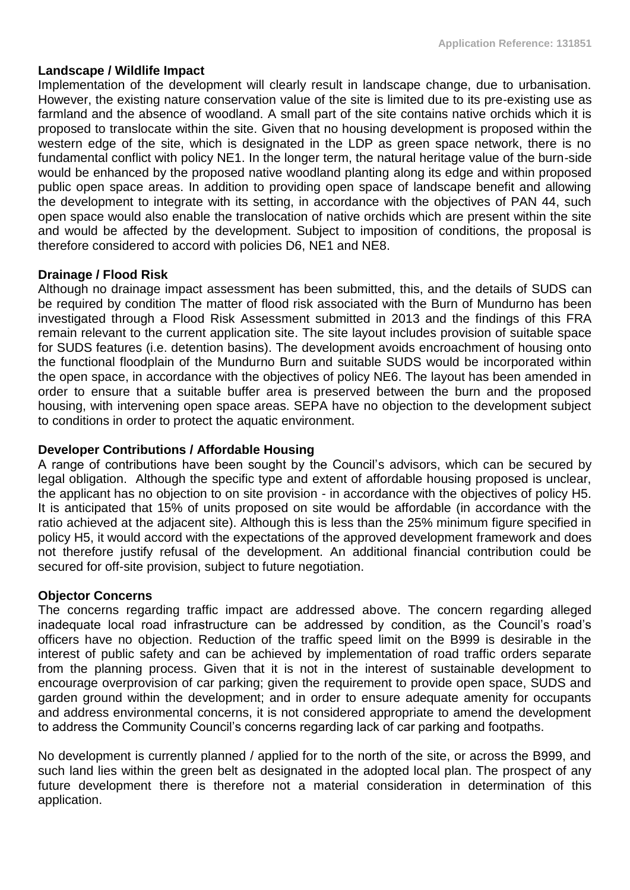## **Landscape / Wildlife Impact**

Implementation of the development will clearly result in landscape change, due to urbanisation. However, the existing nature conservation value of the site is limited due to its pre-existing use as farmland and the absence of woodland. A small part of the site contains native orchids which it is proposed to translocate within the site. Given that no housing development is proposed within the western edge of the site, which is designated in the LDP as green space network, there is no fundamental conflict with policy NE1. In the longer term, the natural heritage value of the burn-side would be enhanced by the proposed native woodland planting along its edge and within proposed public open space areas. In addition to providing open space of landscape benefit and allowing the development to integrate with its setting, in accordance with the objectives of PAN 44, such open space would also enable the translocation of native orchids which are present within the site and would be affected by the development. Subject to imposition of conditions, the proposal is therefore considered to accord with policies D6, NE1 and NE8.

## **Drainage / Flood Risk**

Although no drainage impact assessment has been submitted, this, and the details of SUDS can be required by condition The matter of flood risk associated with the Burn of Mundurno has been investigated through a Flood Risk Assessment submitted in 2013 and the findings of this FRA remain relevant to the current application site. The site layout includes provision of suitable space for SUDS features (i.e. detention basins). The development avoids encroachment of housing onto the functional floodplain of the Mundurno Burn and suitable SUDS would be incorporated within the open space, in accordance with the objectives of policy NE6. The layout has been amended in order to ensure that a suitable buffer area is preserved between the burn and the proposed housing, with intervening open space areas. SEPA have no objection to the development subject to conditions in order to protect the aquatic environment.

#### **Developer Contributions / Affordable Housing**

A range of contributions have been sought by the Council's advisors, which can be secured by legal obligation. Although the specific type and extent of affordable housing proposed is unclear. the applicant has no objection to on site provision - in accordance with the objectives of policy H5. It is anticipated that 15% of units proposed on site would be affordable (in accordance with the ratio achieved at the adjacent site). Although this is less than the 25% minimum figure specified in policy H5, it would accord with the expectations of the approved development framework and does not therefore justify refusal of the development. An additional financial contribution could be secured for off-site provision, subject to future negotiation.

#### **Objector Concerns**

The concerns regarding traffic impact are addressed above. The concern regarding alleged inadequate local road infrastructure can be addressed by condition, as the Council's road's officers have no objection. Reduction of the traffic speed limit on the B999 is desirable in the interest of public safety and can be achieved by implementation of road traffic orders separate from the planning process. Given that it is not in the interest of sustainable development to encourage overprovision of car parking; given the requirement to provide open space, SUDS and garden ground within the development; and in order to ensure adequate amenity for occupants and address environmental concerns, it is not considered appropriate to amend the development to address the Community Council's concerns regarding lack of car parking and footpaths.

No development is currently planned / applied for to the north of the site, or across the B999, and such land lies within the green belt as designated in the adopted local plan. The prospect of any future development there is therefore not a material consideration in determination of this application.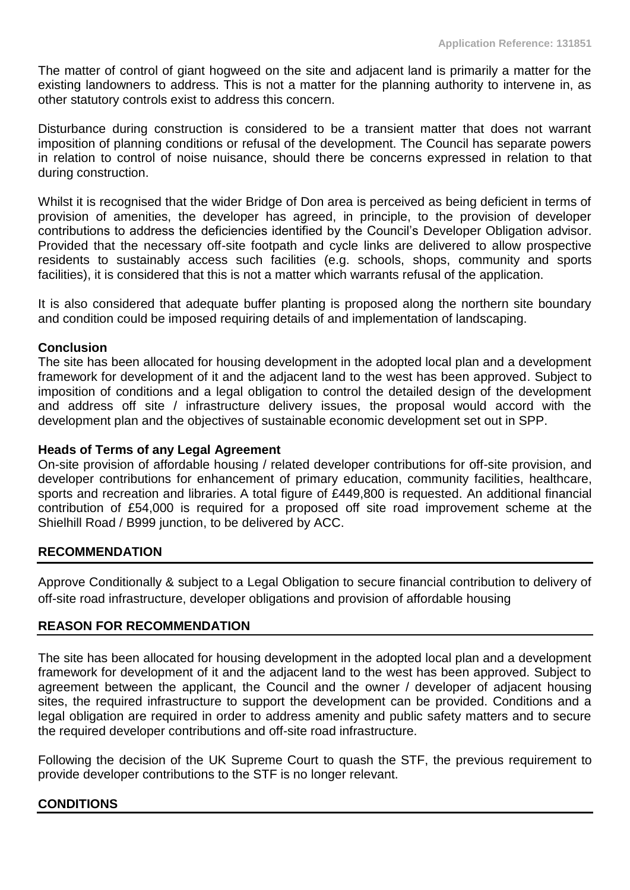The matter of control of giant hogweed on the site and adjacent land is primarily a matter for the existing landowners to address. This is not a matter for the planning authority to intervene in, as other statutory controls exist to address this concern.

Disturbance during construction is considered to be a transient matter that does not warrant imposition of planning conditions or refusal of the development. The Council has separate powers in relation to control of noise nuisance, should there be concerns expressed in relation to that during construction.

Whilst it is recognised that the wider Bridge of Don area is perceived as being deficient in terms of provision of amenities, the developer has agreed, in principle, to the provision of developer contributions to address the deficiencies identified by the Council's Developer Obligation advisor. Provided that the necessary off-site footpath and cycle links are delivered to allow prospective residents to sustainably access such facilities (e.g. schools, shops, community and sports facilities), it is considered that this is not a matter which warrants refusal of the application.

It is also considered that adequate buffer planting is proposed along the northern site boundary and condition could be imposed requiring details of and implementation of landscaping.

## **Conclusion**

The site has been allocated for housing development in the adopted local plan and a development framework for development of it and the adjacent land to the west has been approved. Subject to imposition of conditions and a legal obligation to control the detailed design of the development and address off site / infrastructure delivery issues, the proposal would accord with the development plan and the objectives of sustainable economic development set out in SPP.

## **Heads of Terms of any Legal Agreement**

On-site provision of affordable housing / related developer contributions for off-site provision, and developer contributions for enhancement of primary education, community facilities, healthcare, sports and recreation and libraries. A total figure of £449,800 is requested. An additional financial contribution of £54,000 is required for a proposed off site road improvement scheme at the Shielhill Road / B999 junction, to be delivered by ACC.

## **RECOMMENDATION**

Approve Conditionally & subject to a Legal Obligation to secure financial contribution to delivery of off-site road infrastructure, developer obligations and provision of affordable housing

## **REASON FOR RECOMMENDATION**

The site has been allocated for housing development in the adopted local plan and a development framework for development of it and the adjacent land to the west has been approved. Subject to agreement between the applicant, the Council and the owner / developer of adjacent housing sites, the required infrastructure to support the development can be provided. Conditions and a legal obligation are required in order to address amenity and public safety matters and to secure the required developer contributions and off-site road infrastructure.

Following the decision of the UK Supreme Court to quash the STF, the previous requirement to provide developer contributions to the STF is no longer relevant.

## **CONDITIONS**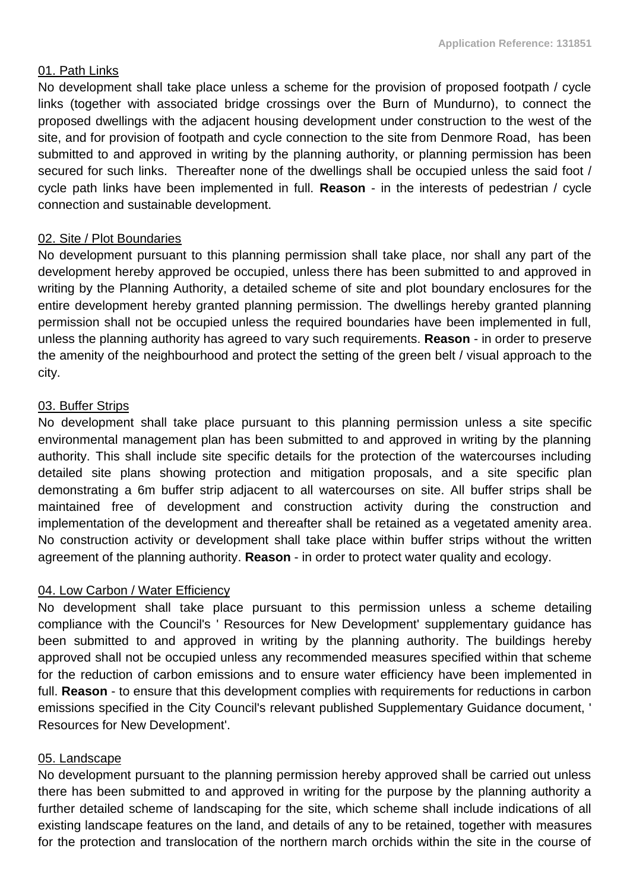## 01. Path Links

No development shall take place unless a scheme for the provision of proposed footpath / cycle links (together with associated bridge crossings over the Burn of Mundurno), to connect the proposed dwellings with the adjacent housing development under construction to the west of the site, and for provision of footpath and cycle connection to the site from Denmore Road, has been submitted to and approved in writing by the planning authority, or planning permission has been secured for such links. Thereafter none of the dwellings shall be occupied unless the said foot / cycle path links have been implemented in full. **Reason** - in the interests of pedestrian / cycle connection and sustainable development.

## 02. Site / Plot Boundaries

No development pursuant to this planning permission shall take place, nor shall any part of the development hereby approved be occupied, unless there has been submitted to and approved in writing by the Planning Authority, a detailed scheme of site and plot boundary enclosures for the entire development hereby granted planning permission. The dwellings hereby granted planning permission shall not be occupied unless the required boundaries have been implemented in full, unless the planning authority has agreed to vary such requirements. **Reason** - in order to preserve the amenity of the neighbourhood and protect the setting of the green belt / visual approach to the city.

#### 03. Buffer Strips

No development shall take place pursuant to this planning permission unless a site specific environmental management plan has been submitted to and approved in writing by the planning authority. This shall include site specific details for the protection of the watercourses including detailed site plans showing protection and mitigation proposals, and a site specific plan demonstrating a 6m buffer strip adjacent to all watercourses on site. All buffer strips shall be maintained free of development and construction activity during the construction and implementation of the development and thereafter shall be retained as a vegetated amenity area. No construction activity or development shall take place within buffer strips without the written agreement of the planning authority. **Reason** - in order to protect water quality and ecology.

## 04. Low Carbon / Water Efficiency

No development shall take place pursuant to this permission unless a scheme detailing compliance with the Council's ' Resources for New Development' supplementary guidance has been submitted to and approved in writing by the planning authority. The buildings hereby approved shall not be occupied unless any recommended measures specified within that scheme for the reduction of carbon emissions and to ensure water efficiency have been implemented in full. **Reason** - to ensure that this development complies with requirements for reductions in carbon emissions specified in the City Council's relevant published Supplementary Guidance document, ' Resources for New Development'.

## 05. Landscape

No development pursuant to the planning permission hereby approved shall be carried out unless there has been submitted to and approved in writing for the purpose by the planning authority a further detailed scheme of landscaping for the site, which scheme shall include indications of all existing landscape features on the land, and details of any to be retained, together with measures for the protection and translocation of the northern march orchids within the site in the course of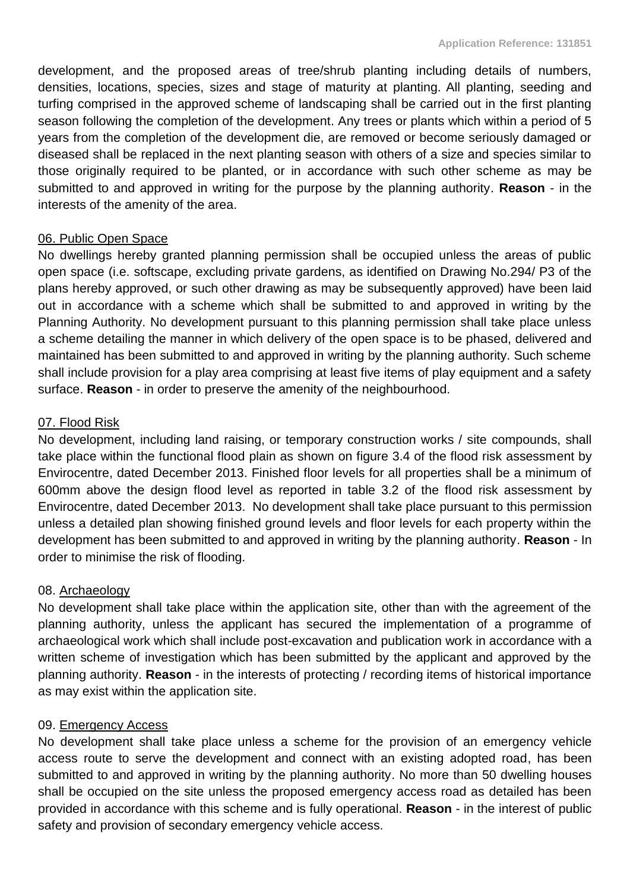development, and the proposed areas of tree/shrub planting including details of numbers, densities, locations, species, sizes and stage of maturity at planting. All planting, seeding and turfing comprised in the approved scheme of landscaping shall be carried out in the first planting season following the completion of the development. Any trees or plants which within a period of 5 years from the completion of the development die, are removed or become seriously damaged or diseased shall be replaced in the next planting season with others of a size and species similar to those originally required to be planted, or in accordance with such other scheme as may be submitted to and approved in writing for the purpose by the planning authority. **Reason** - in the interests of the amenity of the area.

## 06. Public Open Space

No dwellings hereby granted planning permission shall be occupied unless the areas of public open space (i.e. softscape, excluding private gardens, as identified on Drawing No.294/ P3 of the plans hereby approved, or such other drawing as may be subsequently approved) have been laid out in accordance with a scheme which shall be submitted to and approved in writing by the Planning Authority. No development pursuant to this planning permission shall take place unless a scheme detailing the manner in which delivery of the open space is to be phased, delivered and maintained has been submitted to and approved in writing by the planning authority. Such scheme shall include provision for a play area comprising at least five items of play equipment and a safety surface. **Reason** - in order to preserve the amenity of the neighbourhood.

#### 07. Flood Risk

No development, including land raising, or temporary construction works / site compounds, shall take place within the functional flood plain as shown on figure 3.4 of the flood risk assessment by Envirocentre, dated December 2013. Finished floor levels for all properties shall be a minimum of 600mm above the design flood level as reported in table 3.2 of the flood risk assessment by Envirocentre, dated December 2013. No development shall take place pursuant to this permission unless a detailed plan showing finished ground levels and floor levels for each property within the development has been submitted to and approved in writing by the planning authority. **Reason** - In order to minimise the risk of flooding.

## 08. Archaeology

No development shall take place within the application site, other than with the agreement of the planning authority, unless the applicant has secured the implementation of a programme of archaeological work which shall include post-excavation and publication work in accordance with a written scheme of investigation which has been submitted by the applicant and approved by the planning authority. **Reason** - in the interests of protecting / recording items of historical importance as may exist within the application site.

## 09. Emergency Access

No development shall take place unless a scheme for the provision of an emergency vehicle access route to serve the development and connect with an existing adopted road, has been submitted to and approved in writing by the planning authority. No more than 50 dwelling houses shall be occupied on the site unless the proposed emergency access road as detailed has been provided in accordance with this scheme and is fully operational. **Reason** - in the interest of public safety and provision of secondary emergency vehicle access.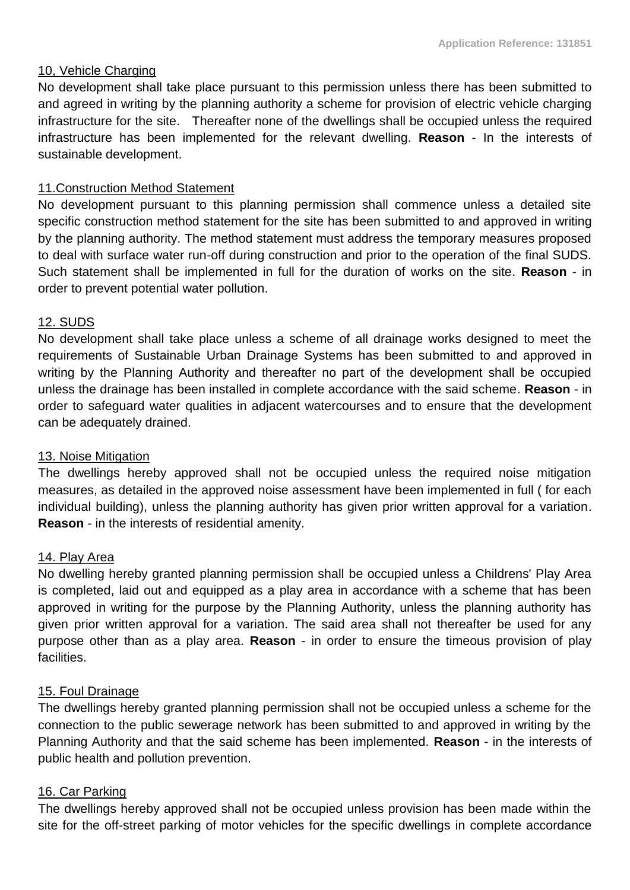## 10, Vehicle Charging

No development shall take place pursuant to this permission unless there has been submitted to and agreed in writing by the planning authority a scheme for provision of electric vehicle charging infrastructure for the site. Thereafter none of the dwellings shall be occupied unless the required infrastructure has been implemented for the relevant dwelling. **Reason** - In the interests of sustainable development.

## 11.Construction Method Statement

No development pursuant to this planning permission shall commence unless a detailed site specific construction method statement for the site has been submitted to and approved in writing by the planning authority. The method statement must address the temporary measures proposed to deal with surface water run-off during construction and prior to the operation of the final SUDS. Such statement shall be implemented in full for the duration of works on the site. **Reason** - in order to prevent potential water pollution.

## 12. SUDS

No development shall take place unless a scheme of all drainage works designed to meet the requirements of Sustainable Urban Drainage Systems has been submitted to and approved in writing by the Planning Authority and thereafter no part of the development shall be occupied unless the drainage has been installed in complete accordance with the said scheme. **Reason** - in order to safeguard water qualities in adjacent watercourses and to ensure that the development can be adequately drained.

## 13. Noise Mitigation

The dwellings hereby approved shall not be occupied unless the required noise mitigation measures, as detailed in the approved noise assessment have been implemented in full ( for each individual building), unless the planning authority has given prior written approval for a variation. **Reason** - in the interests of residential amenity.

## 14. Play Area

No dwelling hereby granted planning permission shall be occupied unless a Childrens' Play Area is completed, laid out and equipped as a play area in accordance with a scheme that has been approved in writing for the purpose by the Planning Authority, unless the planning authority has given prior written approval for a variation. The said area shall not thereafter be used for any purpose other than as a play area. **Reason** - in order to ensure the timeous provision of play facilities.

## 15. Foul Drainage

The dwellings hereby granted planning permission shall not be occupied unless a scheme for the connection to the public sewerage network has been submitted to and approved in writing by the Planning Authority and that the said scheme has been implemented. **Reason** - in the interests of public health and pollution prevention.

## 16. Car Parking

The dwellings hereby approved shall not be occupied unless provision has been made within the site for the off-street parking of motor vehicles for the specific dwellings in complete accordance